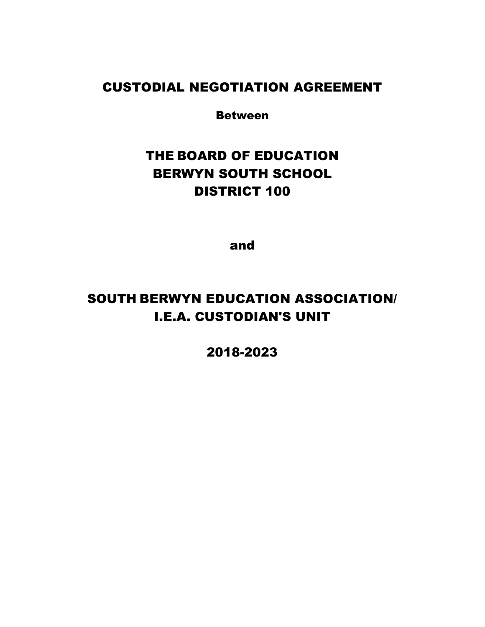## CUSTODIAL NEGOTIATION AGREEMENT

Between

# THE BOARD OF EDUCATION BERWYN SOUTH SCHOOL DISTRICT 100

and

# SOUTH BERWYN EDUCATION ASSOCIATION/ I.E.A. CUSTODIAN'S UNIT

2018-2023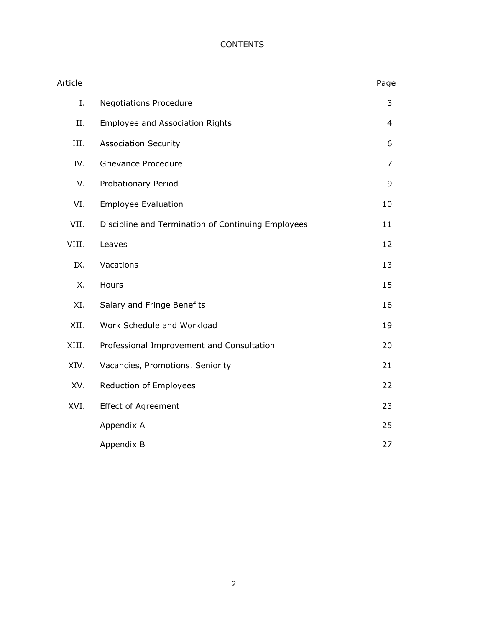### **CONTENTS**

| Article |                                                    | Page           |
|---------|----------------------------------------------------|----------------|
| Ι.      | <b>Negotiations Procedure</b>                      | 3              |
| II.     | <b>Employee and Association Rights</b>             | $\overline{4}$ |
| III.    | <b>Association Security</b>                        | 6              |
| IV.     | Grievance Procedure                                | 7              |
| V.      | Probationary Period                                | 9              |
| VI.     | <b>Employee Evaluation</b>                         | 10             |
| VII.    | Discipline and Termination of Continuing Employees | 11             |
| VIII.   | Leaves                                             | 12             |
| IX.     | Vacations                                          | 13             |
| Χ.      | Hours                                              | 15             |
| XI.     | Salary and Fringe Benefits                         | 16             |
| XII.    | Work Schedule and Workload                         | 19             |
| XIII.   | Professional Improvement and Consultation          | 20             |
| XIV.    | Vacancies, Promotions. Seniority                   | 21             |
| XV.     | Reduction of Employees                             | 22             |
| XVI.    | <b>Effect of Agreement</b>                         | 23             |
|         | Appendix A                                         | 25             |
|         | Appendix B                                         | 27             |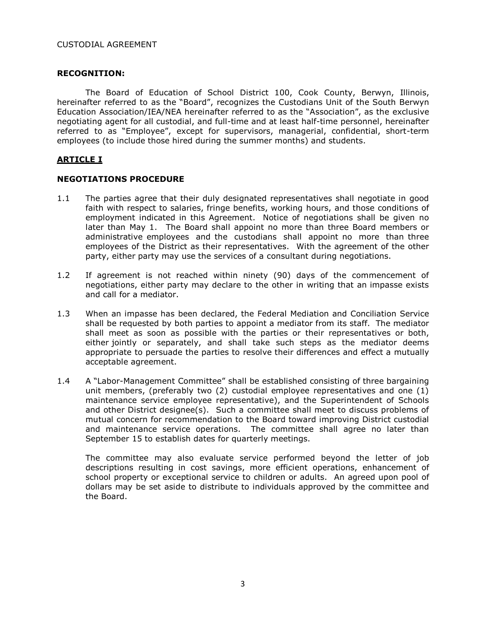#### CUSTODIAL AGREEMENT

#### **RECOGNITION:**

The Board of Education of School District 100, Cook County, Berwyn, Illinois, hereinafter referred to as the "Board", recognizes the Custodians Unit of the South Berwyn Education Association/IEA/NEA hereinafter referred to as the "Association", as the exclusive negotiating agent for all custodial, and full-time and at least half-time personnel, hereinafter referred to as "Employee", except for supervisors, managerial, confidential, short-term employees (to include those hired during the summer months) and students.

#### **ARTICLE I**

#### **NEGOTIATIONS PROCEDURE**

- 1.1 The parties agree that their duly designated representatives shall negotiate in good faith with respect to salaries, fringe benefits, working hours, and those conditions of employment indicated in this Agreement. Notice of negotiations shall be given no later than May 1. The Board shall appoint no more than three Board members or administrative employees and the custodians shall appoint no more than three employees of the District as their representatives. With the agreement of the other party, either party may use the services of a consultant during negotiations.
- 1.2 If agreement is not reached within ninety (90) days of the commencement of negotiations, either party may declare to the other in writing that an impasse exists and call for a mediator.
- 1.3 When an impasse has been declared, the Federal Mediation and Conciliation Service shall be requested by both parties to appoint a mediator from its staff. The mediator shall meet as soon as possible with the parties or their representatives or both, either jointly or separately, and shall take such steps as the mediator deems appropriate to persuade the parties to resolve their differences and effect a mutually acceptable agreement.
- 1.4 A "Labor-Management Committee" shall be established consisting of three bargaining unit members, (preferably two (2) custodial employee representatives and one (1) maintenance service employee representative), and the Superintendent of Schools and other District designee(s). Such a committee shall meet to discuss problems of mutual concern for recommendation to the Board toward improving District custodial and maintenance service operations. The committee shall agree no later than September 15 to establish dates for quarterly meetings.

The committee may also evaluate service performed beyond the letter of job descriptions resulting in cost savings, more efficient operations, enhancement of school property or exceptional service to children or adults. An agreed upon pool of dollars may be set aside to distribute to individuals approved by the committee and the Board.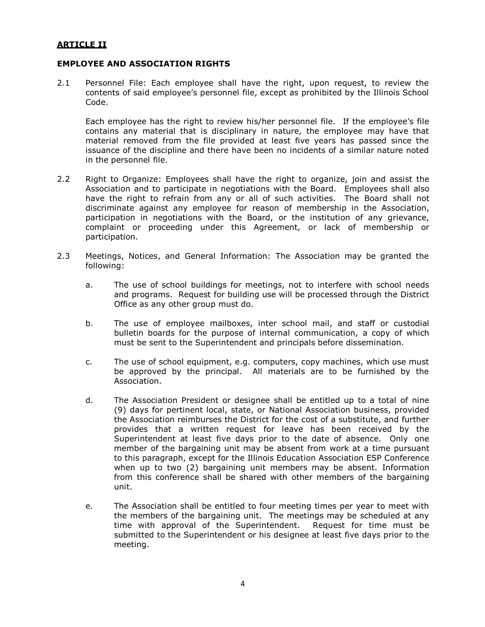#### **ARTICLE II**

#### **EMPLOYEE AND ASSOCIATION RIGHTS**

2.1 Personnel File: Each employee shall have the right, upon request, to review the contents of said employee's personnel file, except as prohibited by the Illinois School Code.

Each employee has the right to review his/her personnel file. If the employee's file contains any material that is disciplinary in nature, the employee may have that material removed from the file provided at least five years has passed since the issuance of the discipline and there have been no incidents of a similar nature noted in the personnel file.

- 2.2 Right to Organize: Employees shall have the right to organize, join and assist the Association and to participate in negotiations with the Board. Employees shall also have the right to refrain from any or all of such activities. The Board shall not discriminate against any employee for reason of membership in the Association, participation in negotiations with the Board, or the institution of any grievance, complaint or proceeding under this Agreement, or lack of membership or participation.
- 2.3 Meetings, Notices, and General Information: The Association may be granted the following:
	- a. The use of school buildings for meetings, not to interfere with school needs and programs. Request for building use will be processed through the District Office as any other group must do.
	- b. The use of employee mailboxes, inter school mail, and staff or custodial bulletin boards for the purpose of internal communication, a copy of which must be sent to the Superintendent and principals before dissemination.
	- c. The use of school equipment, e.g. computers, copy machines, which use must be approved by the principal. All materials are to be furnished by the Association.
	- d. The Association President or designee shall be entitled up to a total of nine (9) days for pertinent local, state, or National Association business, provided the Association reimburses the District for the cost of a substitute, and further provides that a written request for leave has been received by the Superintendent at least five days prior to the date of absence. Only one member of the bargaining unit may be absent from work at a time pursuant to this paragraph, except for the Illinois Education Association ESP Conference when up to two (2) bargaining unit members may be absent. Information from this conference shall be shared with other members of the bargaining unit.
	- e. The Association shall be entitled to four meeting times per year to meet with the members of the bargaining unit. The meetings may be scheduled at any time with approval of the Superintendent. Request for time must be submitted to the Superintendent or his designee at least five days prior to the meeting.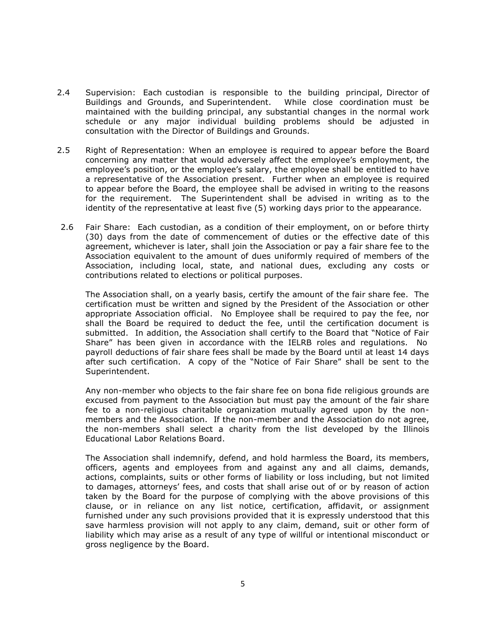- 2.4 Supervision: Each custodian is responsible to the building principal, Director of Buildings and Grounds, and Superintendent. While close coordination must be maintained with the building principal, any substantial changes in the normal work schedule or any major individual building problems should be adjusted in consultation with the Director of Buildings and Grounds.
- 2.5 Right of Representation: When an employee is required to appear before the Board concerning any matter that would adversely affect the employee's employment, the employee's position, or the employee's salary, the employee shall be entitled to have a representative of the Association present. Further when an employee is required to appear before the Board, the employee shall be advised in writing to the reasons for the requirement. The Superintendent shall be advised in writing as to the identity of the representative at least five (5) working days prior to the appearance.
- 2.6 Fair Share: Each custodian, as a condition of their employment, on or before thirty (30) days from the date of commencement of duties or the effective date of this agreement, whichever is later, shall join the Association or pay a fair share fee to the Association equivalent to the amount of dues uniformly required of members of the Association, including local, state, and national dues, excluding any costs or contributions related to elections or political purposes.

The Association shall, on a yearly basis, certify the amount of the fair share fee. The certification must be written and signed by the President of the Association or other appropriate Association official. No Employee shall be required to pay the fee, nor shall the Board be required to deduct the fee, until the certification document is submitted. In addition, the Association shall certify to the Board that "Notice of Fair Share" has been given in accordance with the IELRB roles and regulations. No payroll deductions of fair share fees shall be made by the Board until at least 14 days after such certification. A copy of the "Notice of Fair Share" shall be sent to the Superintendent.

Any non-member who objects to the fair share fee on bona fide religious grounds are excused from payment to the Association but must pay the amount of the fair share fee to a non-religious charitable organization mutually agreed upon by the nonmembers and the Association. If the non-member and the Association do not agree, the non-members shall select a charity from the list developed by the Illinois Educational Labor Relations Board.

The Association shall indemnify, defend, and hold harmless the Board, its members, officers, agents and employees from and against any and all claims, demands, actions, complaints, suits or other forms of liability or loss including, but not limited to damages, attorneys' fees, and costs that shall arise out of or by reason of action taken by the Board for the purpose of complying with the above provisions of this clause, or in reliance on any list notice, certification, affidavit, or assignment furnished under any such provisions provided that it is expressly understood that this save harmless provision will not apply to any claim, demand, suit or other form of liability which may arise as a result of any type of willful or intentional misconduct or gross negligence by the Board.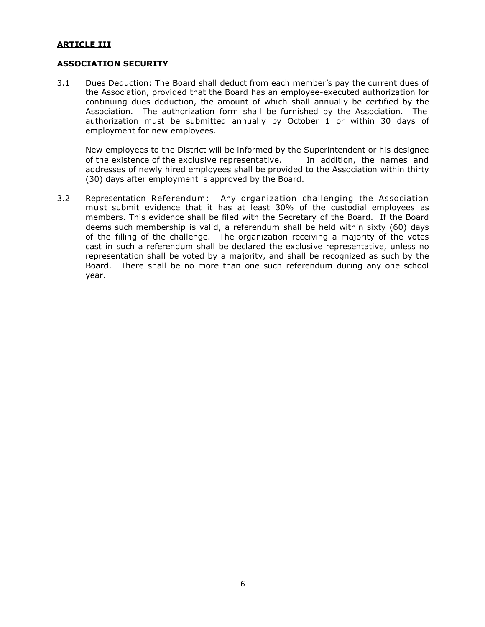#### **ARTICLE III**

#### **ASSOCIATION SECURITY**

3.1 Dues Deduction: The Board shall deduct from each member's pay the current dues of the Association, provided that the Board has an employee-executed authorization for continuing dues deduction, the amount of which shall annually be certified by the Association. The authorization form shall be furnished by the Association. The authorization must be submitted annually by October 1 or within 30 days of employment for new employees.

New employees to the District will be informed by the Superintendent or his designee of the existence of the exclusive representative. In addition, the names and addresses of newly hired employees shall be provided to the Association within thirty (30) days after employment is approved by the Board.

3.2 Representation Referendum: Any organization challenging the Association must submit evidence that it has at least 30% of the custodial employees as members. This evidence shall be filed with the Secretary of the Board. If the Board deems such membership is valid, a referendum shall be held within sixty (60) days of the filling of the challenge. The organization receiving a majority of the votes cast in such a referendum shall be declared the exclusive representative, unless no representation shall be voted by a majority, and shall be recognized as such by the Board. There shall be no more than one such referendum during any one school year.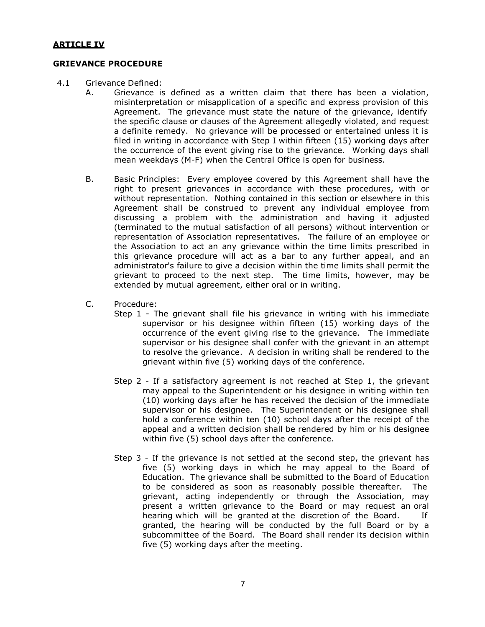#### **GRIEVANCE PROCEDURE**

- 4.1 Grievance Defined:
	- A. Grievance is defined as a written claim that there has been a violation, misinterpretation or misapplication of a specific and express provision of this Agreement. The grievance must state the nature of the grievance, identify the specific clause or clauses of the Agreement allegedly violated, and request a definite remedy. No grievance will be processed or entertained unless it is filed in writing in accordance with Step I within fifteen (15) working days after the occurrence of the event giving rise to the grievance. Working days shall mean weekdays (M-F) when the Central Office is open for business.
	- B. Basic Principles: Every employee covered by this Agreement shall have the right to present grievances in accordance with these procedures, with or without representation. Nothing contained in this section or elsewhere in this Agreement shall be construed to prevent any individual employee from discussing a problem with the administration and having it adjusted (terminated to the mutual satisfaction of all persons) without intervention or representation of Association representatives. The failure of an employee or the Association to act an any grievance within the time limits prescribed in this grievance procedure will act as a bar to any further appeal, and an administrator's failure to give a decision within the time limits shall permit the grievant to proceed to the next step. The time limits, however, may be extended by mutual agreement, either oral or in writing.
	- C. Procedure:
		- Step 1 The grievant shall file his grievance in writing with his immediate supervisor or his designee within fifteen (15) working days of the occurrence of the event giving rise to the grievance. The immediate supervisor or his designee shall confer with the grievant in an attempt to resolve the grievance. A decision in writing shall be rendered to the grievant within five (5) working days of the conference.
		- Step 2 If a satisfactory agreement is not reached at Step 1, the grievant may appeal to the Superintendent or his designee in writing within ten (10) working days after he has received the decision of the immediate supervisor or his designee. The Superintendent or his designee shall hold a conference within ten (10) school days after the receipt of the appeal and a written decision shall be rendered by him or his designee within five (5) school days after the conference.
		- Step 3 If the grievance is not settled at the second step, the grievant has five (5) working days in which he may appeal to the Board of Education. The grievance shall be submitted to the Board of Education to be considered as soon as reasonably possible thereafter. The grievant, acting independently or through the Association, may present a written grievance to the Board or may request an oral hearing which will be granted at the discretion of the Board. If granted, the hearing will be conducted by the full Board or by a subcommittee of the Board. The Board shall render its decision within five (5) working days after the meeting.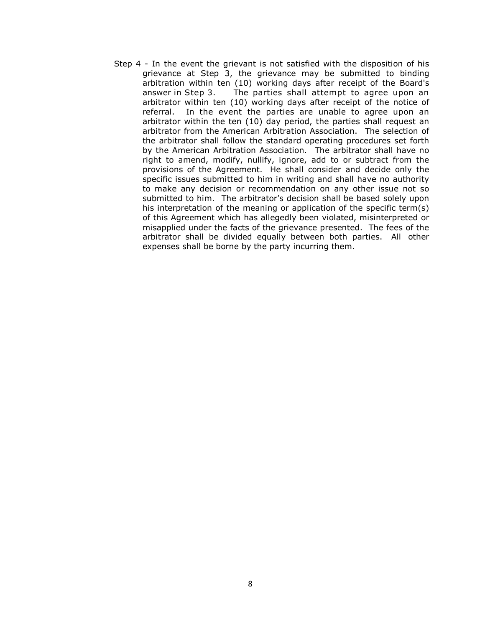Step 4 - In the event the grievant is not satisfied with the disposition of his grievance at Step 3, the grievance may be submitted to binding arbitration within ten (10) working days after receipt of the Board's answer in Step 3. The parties shall attempt to agree upon an arbitrator within ten (10) working days after receipt of the notice of referral. In the event the parties are unable to agree upon an arbitrator within the ten (10) day period, the parties shall request an arbitrator from the American Arbitration Association. The selection of the arbitrator shall follow the standard operating procedures set forth by the American Arbitration Association. The arbitrator shall have no right to amend, modify, nullify, ignore, add to or subtract from the provisions of the Agreement. He shall consider and decide only the specific issues submitted to him in writing and shall have no authority to make any decision or recommendation on any other issue not so submitted to him. The arbitrator's decision shall be based solely upon his interpretation of the meaning or application of the specific term(s) of this Agreement which has allegedly been violated, misinterpreted or misapplied under the facts of the grievance presented. The fees of the arbitrator shall be divided equally between both parties. All other expenses shall be borne by the party incurring them.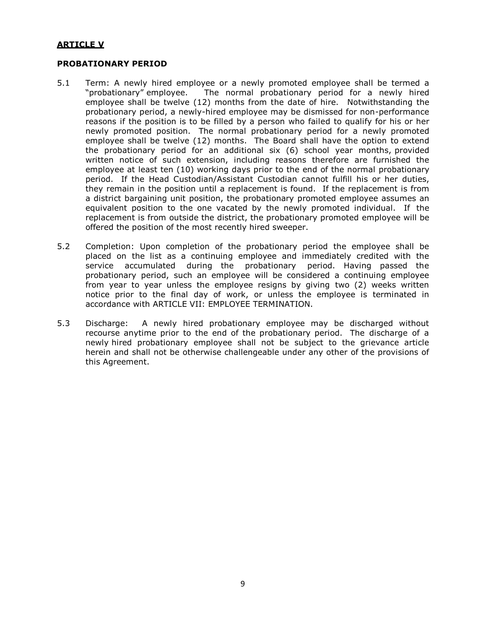#### **ARTICLE V**

#### **PROBATIONARY PERIOD**

- 5.1 Term: A newly hired employee or a newly promoted employee shall be termed a "probationary" employee. The normal probationary period for a newly hired employee shall be twelve (12) months from the date of hire. Notwithstanding the probationary period, a newly-hired employee may be dismissed for non-performance reasons if the position is to be filled by a person who failed to qualify for his or her newly promoted position. The normal probationary period for a newly promoted employee shall be twelve (12) months. The Board shall have the option to extend the probationary period for an additional six (6) school year months, provided written notice of such extension, including reasons therefore are furnished the employee at least ten (10) working days prior to the end of the normal probationary period. If the Head Custodian/Assistant Custodian cannot fulfill his or her duties, they remain in the position until a replacement is found. If the replacement is from a district bargaining unit position, the probationary promoted employee assumes an equivalent position to the one vacated by the newly promoted individual. If the replacement is from outside the district, the probationary promoted employee will be offered the position of the most recently hired sweeper.
- 5.2 Completion: Upon completion of the probationary period the employee shall be placed on the list as a continuing employee and immediately credited with the service accumulated during the probationary period. Having passed the probationary period, such an employee will be considered a continuing employee from year to year unless the employee resigns by giving two (2) weeks written notice prior to the final day of work, or unless the employee is terminated in accordance with ARTICLE VII: EMPLOYEE TERMINATION.
- 5.3 Discharge: A newly hired probationary employee may be discharged without recourse anytime prior to the end of the probationary period. The discharge of a newly hired probationary employee shall not be subject to the grievance article herein and shall not be otherwise challengeable under any other of the provisions of this Agreement.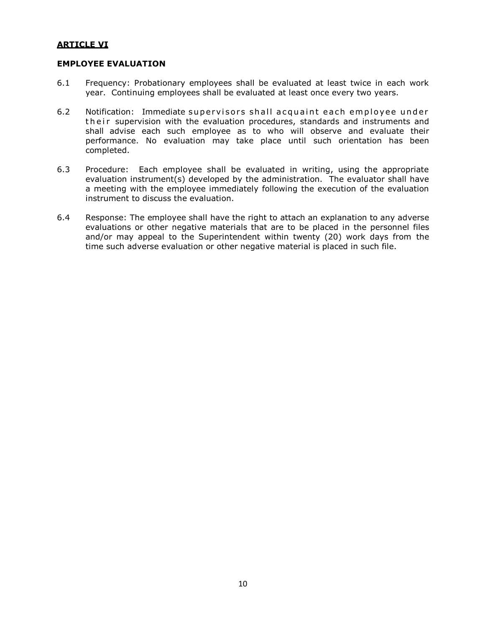#### **ARTICLE VI**

#### **EMPLOYEE EVALUATION**

- 6.1 Frequency: Probationary employees shall be evaluated at least twice in each work year. Continuing employees shall be evaluated at least once every two years.
- 6.2 Notification: Immediate supervisors shall acquaint each employee under their supervision with the evaluation procedures, standards and instruments and shall advise each such employee as to who will observe and evaluate their performance. No evaluation may take place until such orientation has been completed.
- 6.3 Procedure: Each employee shall be evaluated in writing, using the appropriate evaluation instrument(s) developed by the administration. The evaluator shall have a meeting with the employee immediately following the execution of the evaluation instrument to discuss the evaluation.
- 6.4 Response: The employee shall have the right to attach an explanation to any adverse evaluations or other negative materials that are to be placed in the personnel files and/or may appeal to the Superintendent within twenty (20) work days from the time such adverse evaluation or other negative material is placed in such file.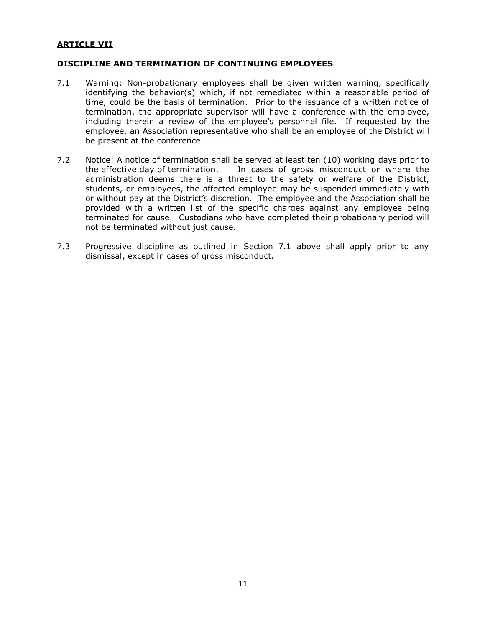#### **ARTICLE VII**

#### **DISCIPLINE AND TERMINATION OF CONTINUING EMPLOYEES**

- 7.1 Warning: Non-probationary employees shall be given written warning, specifically identifying the behavior(s) which, if not remediated within a reasonable period of time, could be the basis of termination. Prior to the issuance of a written notice of termination, the appropriate supervisor will have a conference with the employee, including therein a review of the employee's personnel file. If requested by the employee, an Association representative who shall be an employee of the District will be present at the conference.
- 7.2 Notice: A notice of termination shall be served at least ten (10) working days prior to the effective day of termination. In cases of gross misconduct or where the administration deems there is a threat to the safety or welfare of the District, students, or employees, the affected employee may be suspended immediately with or without pay at the District's discretion. The employee and the Association shall be provided with a written list of the specific charges against any employee being terminated for cause. Custodians who have completed their probationary period will not be terminated without just cause.
- 7.3 Progressive discipline as outlined in Section 7.1 above shall apply prior to any dismissal, except in cases of gross misconduct.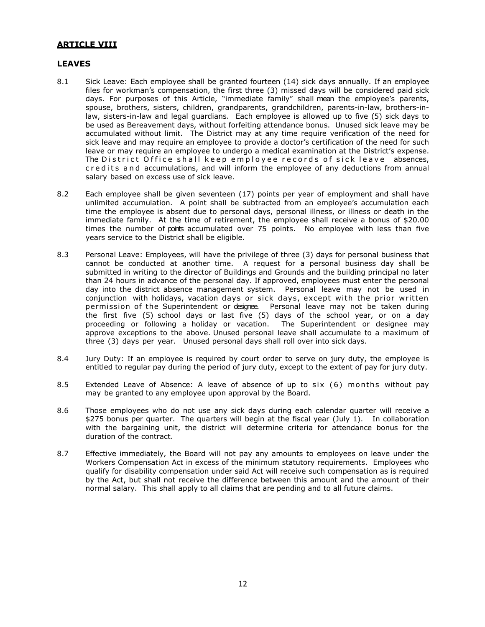#### **ARTICLE VIII**

#### **LEAVES**

- 8.1 Sick Leave: Each employee shall be granted fourteen (14) sick days annually. If an employee files for workman's compensation, the first three (3) missed days will be considered paid sick days. For purposes of this Article, "immediate family" shall mean the employee's parents, spouse, brothers, sisters, children, grandparents, grandchildren, parents-in-law, brothers-inlaw, sisters-in-law and legal guardians. Each employee is allowed up to five (5) sick days to be used as Bereavement days, without forfeiting attendance bonus. Unused sick leave may be accumulated without limit. The District may at any time require verification of the need for sick leave and may require an employee to provide a doctor's certification of the need for such leave or may require an employee to undergo a medical examination at the District's expense. The District Office shall keep employee records of sick leave absences, c r e dits and accumulations, and will inform the employee of any deductions from annual salary based on excess use of sick leave.
- 8.2 Each employee shall be given seventeen (17) points per year of employment and shall have unlimited accumulation. A point shall be subtracted from an employee's accumulation each time the employee is absent due to personal days, personal illness, or illness or death in the immediate family. At the time of retirement, the employee shall receive a bonus of \$20.00 times the number of points accumulated over 75 points. No employee with less than five years service to the District shall be eligible.
- 8.3 Personal Leave: Employees, will have the privilege of three (3) days for personal business that cannot be conducted at another time. A request for a personal business day shall be submitted in writing to the director of Buildings and Grounds and the building principal no later than 24 hours in advance of the personal day. If approved, employees must enter the personal day into the district absence management system. Personal leave may not be used in conjunction with holidays, vacation days or sick days, except with the prior written permission of the Superintendent or designee. Personal leave may not be taken during the first five (5) school days or last five (5) days of the school year, or on a day proceeding or following a holiday or vacation. The Superintendent or designee may approve exceptions to the above. Unused personal leave shall accumulate to a maximum of three (3) days per year. Unused personal days shall roll over into sick days.
- 8.4 Jury Duty: If an employee is required by court order to serve on jury duty, the employee is entitled to regular pay during the period of jury duty, except to the extent of pay for jury duty.
- 8.5 Extended Leave of Absence: A leave of absence of up to six (6) months without pay may be granted to any employee upon approval by the Board.
- 8.6 Those employees who do not use any sick days during each calendar quarter will receive a \$275 bonus per quarter. The quarters will begin at the fiscal year (July 1). In collaboration with the bargaining unit, the district will determine criteria for attendance bonus for the duration of the contract.
- 8.7 Effective immediately, the Board will not pay any amounts to employees on leave under the Workers Compensation Act in excess of the minimum statutory requirements. Employees who qualify for disability compensation under said Act will receive such compensation as is required by the Act, but shall not receive the difference between this amount and the amount of their normal salary. This shall apply to all claims that are pending and to all future claims.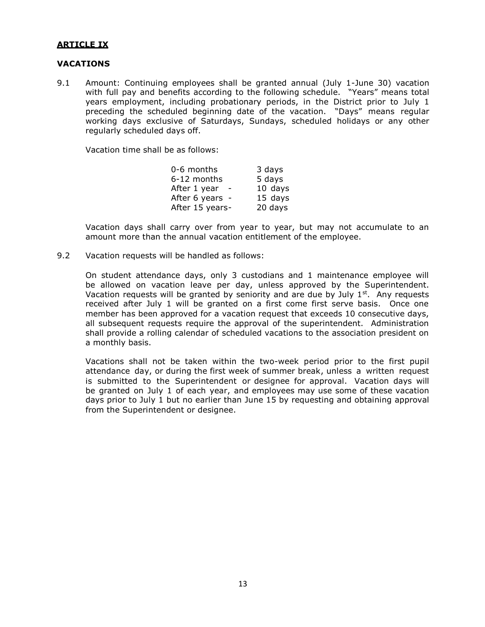#### **ARTICLE IX**

#### **VACATIONS**

9.1 Amount: Continuing employees shall be granted annual (July 1-June 30) vacation with full pay and benefits according to the following schedule. "Years" means total years employment, including probationary periods, in the District prior to July 1 preceding the scheduled beginning date of the vacation. "Days" means regular working days exclusive of Saturdays, Sundays, scheduled holidays or any other regularly scheduled days off.

Vacation time shall be as follows:

| 0-6 months      | 3 days    |
|-----------------|-----------|
| 6-12 months     | 5 days    |
| After 1 year    | $10$ days |
| After 6 years - | 15 days   |
| After 15 years- | 20 days   |

Vacation days shall carry over from year to year, but may not accumulate to an amount more than the annual vacation entitlement of the employee.

9.2 Vacation requests will be handled as follows:

On student attendance days, only 3 custodians and 1 maintenance employee will be allowed on vacation leave per day, unless approved by the Superintendent. Vacation requests will be granted by seniority and are due by July  $1^{st}$ . Any requests received after July 1 will be granted on a first come first serve basis. Once one member has been approved for a vacation request that exceeds 10 consecutive days, all subsequent requests require the approval of the superintendent. Administration shall provide a rolling calendar of scheduled vacations to the association president on a monthly basis.

Vacations shall not be taken within the two-week period prior to the first pupil attendance day, or during the first week of summer break, unless a written request is submitted to the Superintendent or designee for approval. Vacation days will be granted on July 1 of each year, and employees may use some of these vacation days prior to July 1 but no earlier than June 15 by requesting and obtaining approval from the Superintendent or designee.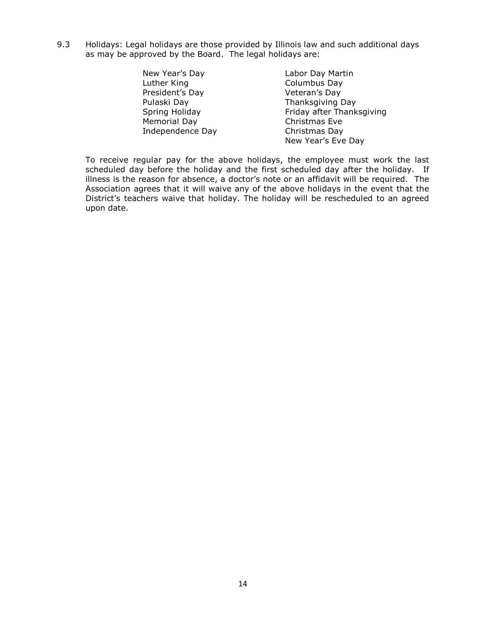9.3 Holidays: Legal holidays are those provided by Illinois law and such additional days as may be approved by the Board. The legal holidays are:

| New Year's Day   | Labor Day Martin          |
|------------------|---------------------------|
| Luther King      | Columbus Day              |
| President's Day  | Veteran's Day             |
| Pulaski Day      | Thanksgiving Day          |
| Spring Holiday   | Friday after Thanksgiving |
| Memorial Day     | Christmas Eve             |
| Independence Day | Christmas Day             |
|                  | New Year's Eve Day        |

To receive regular pay for the above holidays, the employee must work the last scheduled day before the holiday and the first scheduled day after the holiday. If illness is the reason for absence, a doctor's note or an affidavit will be required. The Association agrees that it will waive any of the above holidays in the event that the District's teachers waive that holiday. The holiday will be rescheduled to an agreed upon date.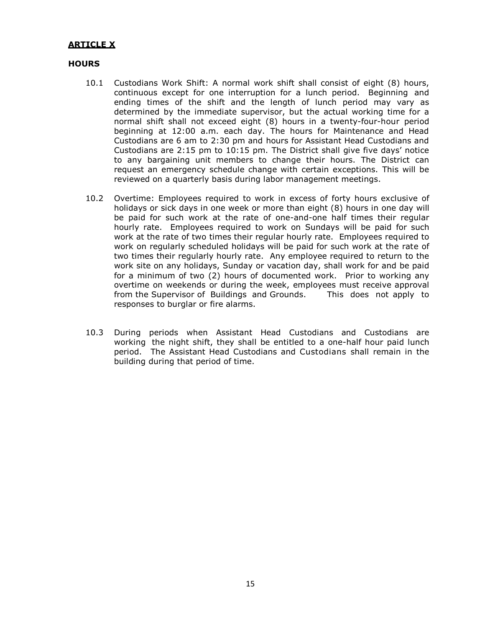#### **ARTICLE X**

#### **HOURS**

- 10.1 Custodians Work Shift: A normal work shift shall consist of eight (8) hours, continuous except for one interruption for a lunch period. Beginning and ending times of the shift and the length of lunch period may vary as determined by the immediate supervisor, but the actual working time for a normal shift shall not exceed eight (8) hours in a twenty-four-hour period beginning at 12:00 a.m. each day. The hours for Maintenance and Head Custodians are 6 am to 2:30 pm and hours for Assistant Head Custodians and Custodians are 2:15 pm to 10:15 pm. The District shall give five days' notice to any bargaining unit members to change their hours. The District can request an emergency schedule change with certain exceptions. This will be reviewed on a quarterly basis during labor management meetings.
- 10.2 Overtime: Employees required to work in excess of forty hours exclusive of holidays or sick days in one week or more than eight (8) hours in one day will be paid for such work at the rate of one-and-one half times their regular hourly rate. Employees required to work on Sundays will be paid for such work at the rate of two times their regular hourly rate. Employees required to work on regularly scheduled holidays will be paid for such work at the rate of two times their regularly hourly rate. Any employee required to return to the work site on any holidays, Sunday or vacation day, shall work for and be paid for a minimum of two (2) hours of documented work. Prior to working any overtime on weekends or during the week, employees must receive approval from the Supervisor of Buildings and Grounds. This does not apply to responses to burglar or fire alarms.
- 10.3 During periods when Assistant Head Custodians and Custodians are working the night shift, they shall be entitled to a one-half hour paid lunch period. The Assistant Head Custodians and Custodians shall remain in the building during that period of time.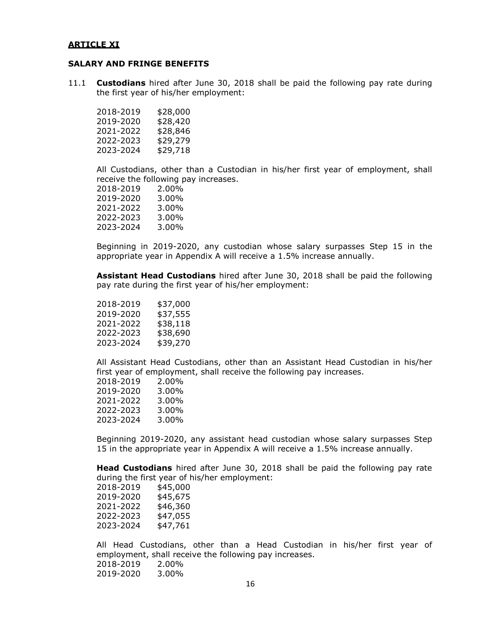#### **ARTICLE XI**

#### **SALARY AND FRINGE BENEFITS**

11.1 **Custodians** hired after June 30, 2018 shall be paid the following pay rate during the first year of his/her employment:

| 2018-2019 | \$28,000 |
|-----------|----------|
| 2019-2020 | \$28,420 |
| 2021-2022 | \$28,846 |
| 2022-2023 | \$29,279 |
| 2023-2024 | \$29,718 |

All Custodians, other than a Custodian in his/her first year of employment, shall receive the following pay increases.<br>2018-2019 2.00%

2018-2019 2019-2020 3.00% 2021-2022 3.00% 2022-2023 3.00% 2023-2024 3.00%

Beginning in 2019-2020, any custodian whose salary surpasses Step 15 in the appropriate year in Appendix A will receive a 1.5% increase annually.

**Assistant Head Custodians** hired after June 30, 2018 shall be paid the following pay rate during the first year of his/her employment:

| 2018-2019 | \$37,000 |
|-----------|----------|
| 2019-2020 | \$37,555 |
| 2021-2022 | \$38,118 |
| 2022-2023 | \$38,690 |
| 2023-2024 | \$39,270 |

All Assistant Head Custodians, other than an Assistant Head Custodian in his/her first year of employment, shall receive the following pay increases.

| 2018-2019 | 2.00% |
|-----------|-------|
| 2019-2020 | 3.00% |
| 2021-2022 | 3.00% |
| 2022-2023 | 3.00% |
| 2023-2024 | 3.00% |
|           |       |

Beginning 2019-2020, any assistant head custodian whose salary surpasses Step 15 in the appropriate year in Appendix A will receive a 1.5% increase annually.

**Head Custodians** hired after June 30, 2018 shall be paid the following pay rate during the first year of his/her employment:

| \$45,000 |
|----------|
| \$45,675 |
| \$46,360 |
| \$47,055 |
| \$47,761 |
|          |

All Head Custodians, other than a Head Custodian in his/her first year of employment, shall receive the following pay increases. 2018-2019 2.00% 2019-2020 3.00%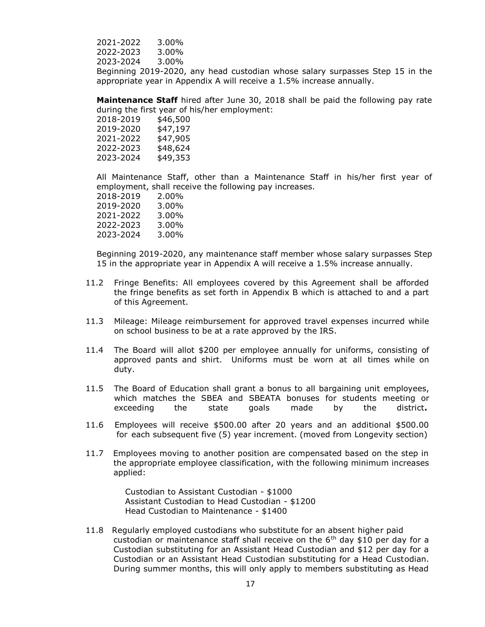2021-2022 3.00% 2022-2023 3.00% 2023-2024 3.00%

Beginning 2019-2020, any head custodian whose salary surpasses Step 15 in the appropriate year in Appendix A will receive a 1.5% increase annually.

**Maintenance Staff** hired after June 30, 2018 shall be paid the following pay rate during the first year of his/her employment:

| \$46,500 |
|----------|
| \$47,197 |
| \$47,905 |
| \$48,624 |
| \$49,353 |
|          |

All Maintenance Staff, other than a Maintenance Staff in his/her first year of employment, shall receive the following pay increases.

| 2018-2019 | 2.00% |
|-----------|-------|
| 2019-2020 | 3.00% |
| 2021-2022 | 3.00% |
| 2022-2023 | 3.00% |
| 2023-2024 | 3.00% |
|           |       |

Beginning 2019-2020, any maintenance staff member whose salary surpasses Step 15 in the appropriate year in Appendix A will receive a 1.5% increase annually.

- 11.2 Fringe Benefits: All employees covered by this Agreement shall be afforded the fringe benefits as set forth in Appendix B which is attached to and a part of this Agreement.
- 11.3 Mileage: Mileage reimbursement for approved travel expenses incurred while on school business to be at a rate approved by the IRS.
- 11.4 The Board will allot \$200 per employee annually for uniforms, consisting of approved pants and shirt. Uniforms must be worn at all times while on duty.
- 11.5 The Board of Education shall grant a bonus to all bargaining unit employees, which matches the SBEA and SBEATA bonuses for students meeting or exceeding the state goals made by the district**.**
- 11.6 Employees will receive \$500.00 after 20 years and an additional \$500.00 for each subsequent five (5) year increment. (moved from Longevity section)
- 11.7 Employees moving to another position are compensated based on the step in the appropriate employee classification, with the following minimum increases applied:

 Custodian to Assistant Custodian - \$1000 Assistant Custodian to Head Custodian - \$1200 Head Custodian to Maintenance - \$1400

11.8 Regularly employed custodians who substitute for an absent higher paid custodian or maintenance staff shall receive on the 6<sup>th</sup> day \$10 per day for a Custodian substituting for an Assistant Head Custodian and \$12 per day for a Custodian or an Assistant Head Custodian substituting for a Head Custodian. During summer months, this will only apply to members substituting as Head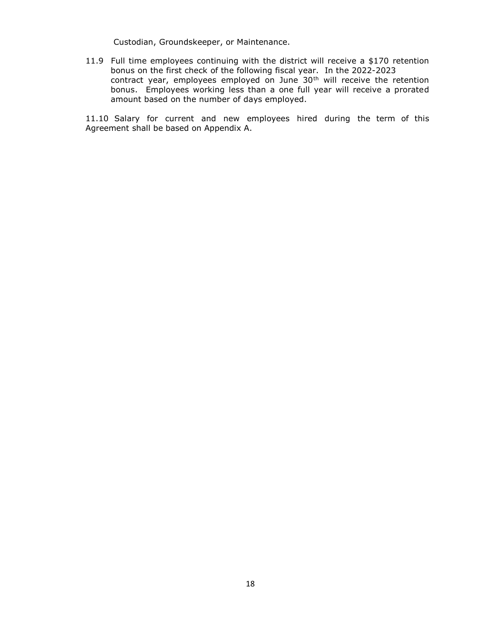Custodian, Groundskeeper, or Maintenance.

11.9 Full time employees continuing with the district will receive a \$170 retention bonus on the first check of the following fiscal year. In the 2022-2023 contract year, employees employed on June 30<sup>th</sup> will receive the retention bonus. Employees working less than a one full year will receive a prorated amount based on the number of days employed.

11.10 Salary for current and new employees hired during the term of this Agreement shall be based on Appendix A.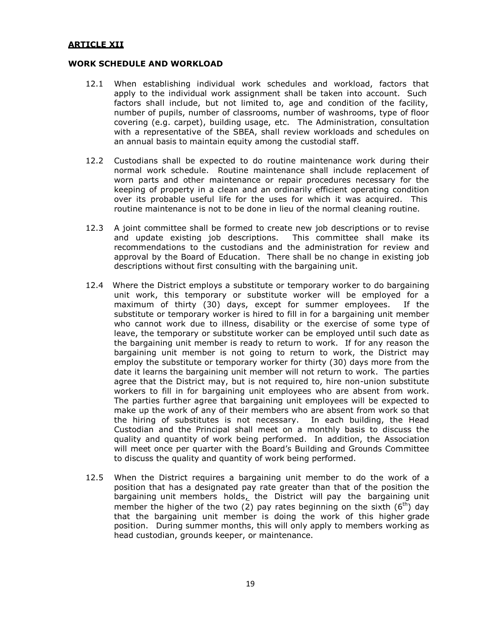#### **ARTICLE XII**

#### **WORK SCHEDULE AND WORKLOAD**

- 12.1 When establishing individual work schedules and workload, factors that apply to the individual work assignment shall be taken into account. Such factors shall include, but not limited to, age and condition of the facility, number of pupils, number of classrooms, number of washrooms, type of floor covering (e.g. carpet), building usage, etc. The Administration, consultation with a representative of the SBEA, shall review workloads and schedules on an annual basis to maintain equity among the custodial staff.
- 12.2 Custodians shall be expected to do routine maintenance work during their normal work schedule. Routine maintenance shall include replacement of worn parts and other maintenance or repair procedures necessary for the keeping of property in a clean and an ordinarily efficient operating condition over its probable useful life for the uses for which it was acquired. This routine maintenance is not to be done in lieu of the normal cleaning routine.
- 12.3 A joint committee shall be formed to create new job descriptions or to revise and update existing job descriptions. This committee shall make its recommendations to the custodians and the administration for review and approval by the Board of Education. There shall be no change in existing job descriptions without first consulting with the bargaining unit.
- 12.4 Where the District employs a substitute or temporary worker to do bargaining unit work, this temporary or substitute worker will be employed for a maximum of thirty (30) days, except for summer employees. If the substitute or temporary worker is hired to fill in for a bargaining unit member who cannot work due to illness, disability or the exercise of some type of leave, the temporary or substitute worker can be employed until such date as the bargaining unit member is ready to return to work. If for any reason the bargaining unit member is not going to return to work, the District may employ the substitute or temporary worker for thirty (30) days more from the date it learns the bargaining unit member will not return to work. The parties agree that the District may, but is not required to, hire non-union substitute workers to fill in for bargaining unit employees who are absent from work. The parties further agree that bargaining unit employees will be expected to make up the work of any of their members who are absent from work so that the hiring of substitutes is not necessary. In each building, the Head Custodian and the Principal shall meet on a monthly basis to discuss the quality and quantity of work being performed. In addition, the Association will meet once per quarter with the Board's Building and Grounds Committee to discuss the quality and quantity of work being performed.
- 12.5 When the District requires a bargaining unit member to do the work of a position that has a designated pay rate greater than that of the position the bargaining unit members holds, the District will pay the bargaining unit member the higher of the two (2) pay rates beginning on the sixth  $(6<sup>th</sup>)$  day that the bargaining unit member is doing the work of this higher grade position. During summer months, this will only apply to members working as head custodian, grounds keeper, or maintenance.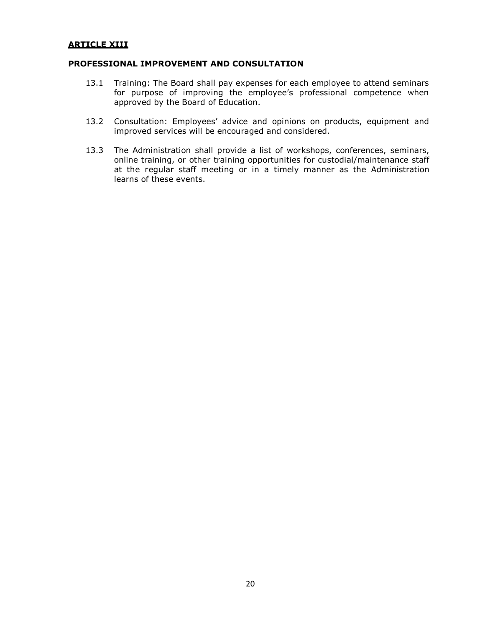#### **ARTICLE XIII**

#### **PROFESSIONAL IMPROVEMENT AND CONSULTATION**

- 13.1 Training: The Board shall pay expenses for each employee to attend seminars for purpose of improving the employee's professional competence when approved by the Board of Education.
- 13.2 Consultation: Employees' advice and opinions on products, equipment and improved services will be encouraged and considered.
- 13.3 The Administration shall provide a list of workshops, conferences, seminars, online training, or other training opportunities for custodial/maintenance staff at the regular staff meeting or in a timely manner as the Administration learns of these events.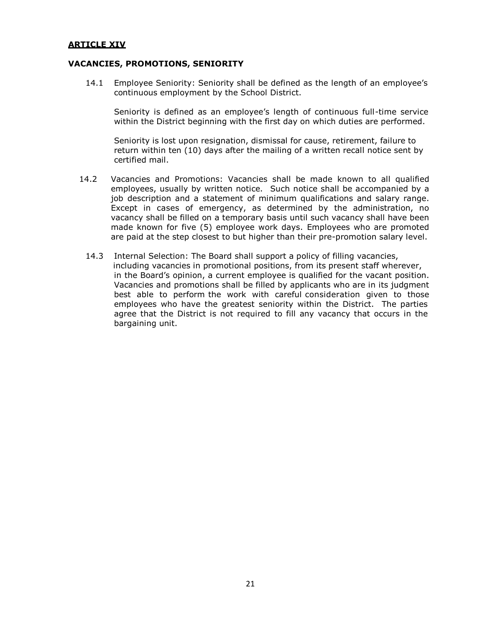#### **ARTICLE XIV**

#### **VACANCIES, PROMOTIONS, SENIORITY**

14.1 Employee Seniority: Seniority shall be defined as the length of an employee's continuous employment by the School District.

Seniority is defined as an employee's length of continuous full-time service within the District beginning with the first day on which duties are performed.

Seniority is lost upon resignation, dismissal for cause, retirement, failure to return within ten (10) days after the mailing of a written recall notice sent by certified mail.

- 14.2 Vacancies and Promotions: Vacancies shall be made known to all qualified employees, usually by written notice. Such notice shall be accompanied by a job description and a statement of minimum qualifications and salary range. Except in cases of emergency, as determined by the administration, no vacancy shall be filled on a temporary basis until such vacancy shall have been made known for five (5) employee work days. Employees who are promoted are paid at the step closest to but higher than their pre-promotion salary level.
	- 14.3 Internal Selection: The Board shall support a policy of filling vacancies, including vacancies in promotional positions, from its present staff wherever, in the Board's opinion, a current employee is qualified for the vacant position. Vacancies and promotions shall be filled by applicants who are in its judgment best able to perform the work with careful consideration given to those employees who have the greatest seniority within the District. The parties agree that the District is not required to fill any vacancy that occurs in the bargaining unit.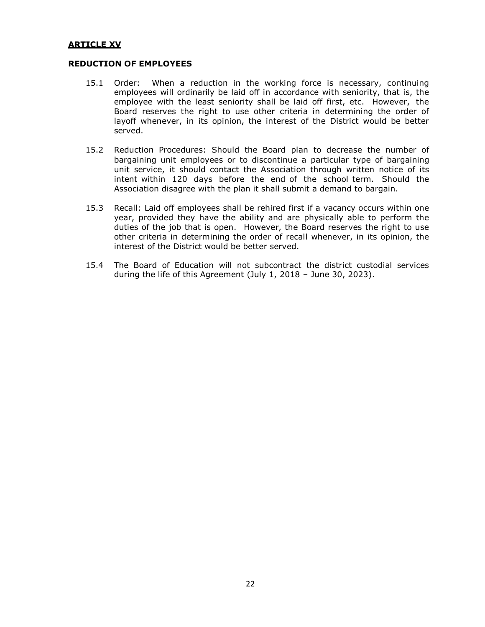#### **ARTICLE XV**

#### **REDUCTION OF EMPLOYEES**

- 15.1 Order: When a reduction in the working force is necessary, continuing employees will ordinarily be laid off in accordance with seniority, that is, the employee with the least seniority shall be laid off first, etc. However, the Board reserves the right to use other criteria in determining the order of layoff whenever, in its opinion, the interest of the District would be better served.
- 15.2 Reduction Procedures: Should the Board plan to decrease the number of bargaining unit employees or to discontinue a particular type of bargaining unit service, it should contact the Association through written notice of its intent within 120 days before the end of the school term. Should the Association disagree with the plan it shall submit a demand to bargain.
- 15.3 Recall: Laid off employees shall be rehired first if a vacancy occurs within one year, provided they have the ability and are physically able to perform the duties of the job that is open. However, the Board reserves the right to use other criteria in determining the order of recall whenever, in its opinion, the interest of the District would be better served.
- 15.4 The Board of Education will not subcontract the district custodial services during the life of this Agreement (July 1, 2018 – June 30, 2023).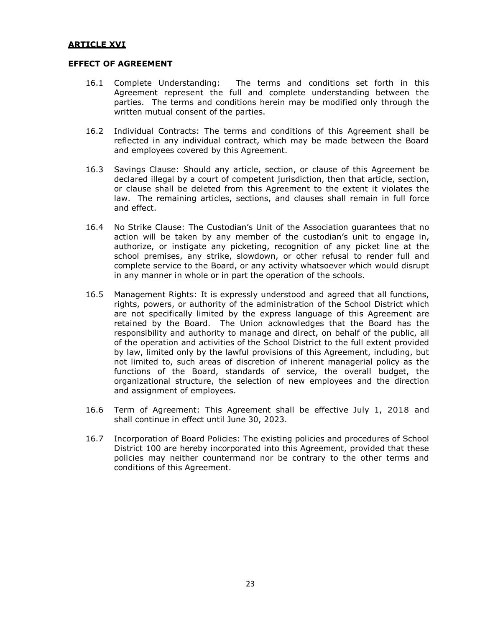#### **ARTICLE XVI**

#### **EFFECT OF AGREEMENT**

- 16.1 Complete Understanding: The terms and conditions set forth in this Agreement represent the full and complete understanding between the parties. The terms and conditions herein may be modified only through the written mutual consent of the parties.
- 16.2 Individual Contracts: The terms and conditions of this Agreement shall be reflected in any individual contract, which may be made between the Board and employees covered by this Agreement.
- 16.3 Savings Clause: Should any article, section, or clause of this Agreement be declared illegal by a court of competent jurisdiction, then that article, section, or clause shall be deleted from this Agreement to the extent it violates the law. The remaining articles, sections, and clauses shall remain in full force and effect.
- 16.4 No Strike Clause: The Custodian's Unit of the Association guarantees that no action will be taken by any member of the custodian's unit to engage in, authorize, or instigate any picketing, recognition of any picket line at the school premises, any strike, slowdown, or other refusal to render full and complete service to the Board, or any activity whatsoever which would disrupt in any manner in whole or in part the operation of the schools.
- 16.5 Management Rights: It is expressly understood and agreed that all functions, rights, powers, or authority of the administration of the School District which are not specifically limited by the express language of this Agreement are retained by the Board. The Union acknowledges that the Board has the responsibility and authority to manage and direct, on behalf of the public, all of the operation and activities of the School District to the full extent provided by law, limited only by the lawful provisions of this Agreement, including, but not limited to, such areas of discretion of inherent managerial policy as the functions of the Board, standards of service, the overall budget, the organizational structure, the selection of new employees and the direction and assignment of employees.
- 16.6 Term of Agreement: This Agreement shall be effective July 1, 2018 and shall continue in effect until June 30, 2023.
- 16.7 Incorporation of Board Policies: The existing policies and procedures of School District 100 are hereby incorporated into this Agreement, provided that these policies may neither countermand nor be contrary to the other terms and conditions of this Agreement.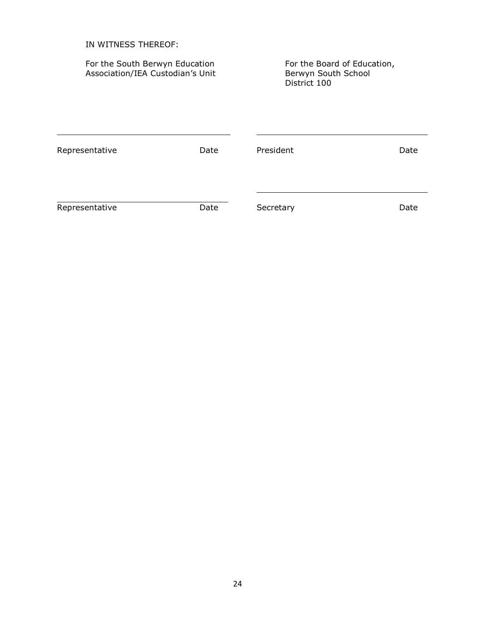| IN WITNESS THEREOF:                                                |      |                                                                    |      |  |  |
|--------------------------------------------------------------------|------|--------------------------------------------------------------------|------|--|--|
| For the South Berwyn Education<br>Association/IEA Custodian's Unit |      | For the Board of Education,<br>Berwyn South School<br>District 100 |      |  |  |
| Representative                                                     | Date | President                                                          | Date |  |  |
| Representative                                                     | Date | Secretary                                                          | Date |  |  |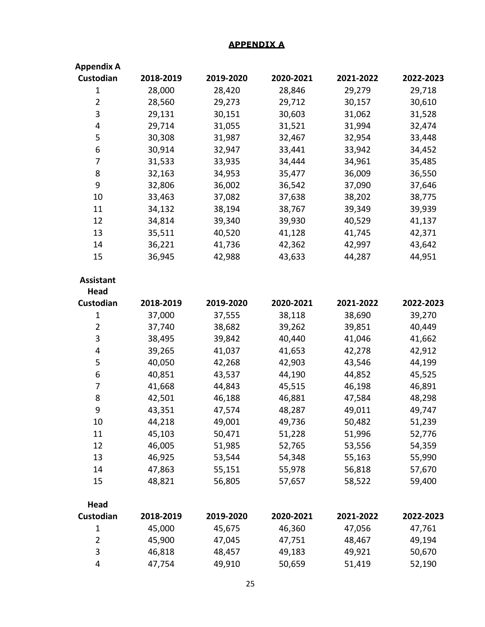### **APPENDIX A**

| <b>Appendix A</b> |           |           |           |           |           |
|-------------------|-----------|-----------|-----------|-----------|-----------|
| Custodian         | 2018-2019 | 2019-2020 | 2020-2021 | 2021-2022 | 2022-2023 |
| $\mathbf{1}$      | 28,000    | 28,420    | 28,846    | 29,279    | 29,718    |
| $\overline{2}$    | 28,560    | 29,273    | 29,712    | 30,157    | 30,610    |
| 3                 | 29,131    | 30,151    | 30,603    | 31,062    | 31,528    |
| 4                 | 29,714    | 31,055    | 31,521    | 31,994    | 32,474    |
| 5                 | 30,308    | 31,987    | 32,467    | 32,954    | 33,448    |
| 6                 | 30,914    | 32,947    | 33,441    | 33,942    | 34,452    |
| 7                 | 31,533    | 33,935    | 34,444    | 34,961    | 35,485    |
| 8                 | 32,163    | 34,953    | 35,477    | 36,009    | 36,550    |
| 9                 | 32,806    | 36,002    | 36,542    | 37,090    | 37,646    |
| 10                | 33,463    | 37,082    | 37,638    | 38,202    | 38,775    |
| 11                | 34,132    | 38,194    | 38,767    | 39,349    | 39,939    |
| 12                | 34,814    | 39,340    | 39,930    | 40,529    | 41,137    |
| 13                | 35,511    | 40,520    | 41,128    | 41,745    | 42,371    |
| 14                | 36,221    | 41,736    | 42,362    | 42,997    | 43,642    |
| 15                | 36,945    | 42,988    | 43,633    | 44,287    | 44,951    |
| <b>Assistant</b>  |           |           |           |           |           |
| <b>Head</b>       |           |           |           |           |           |
| Custodian         | 2018-2019 | 2019-2020 | 2020-2021 | 2021-2022 | 2022-2023 |
| $\mathbf{1}$      | 37,000    | 37,555    | 38,118    | 38,690    | 39,270    |
| $\overline{2}$    | 37,740    | 38,682    | 39,262    | 39,851    | 40,449    |
| 3                 | 38,495    | 39,842    | 40,440    | 41,046    | 41,662    |
| 4                 | 39,265    | 41,037    | 41,653    | 42,278    | 42,912    |
| 5                 | 40,050    | 42,268    | 42,903    | 43,546    | 44,199    |
| 6                 | 40,851    | 43,537    | 44,190    | 44,852    | 45,525    |
| 7                 | 41,668    | 44,843    | 45,515    | 46,198    | 46,891    |
| 8                 | 42,501    | 46,188    | 46,881    | 47,584    | 48,298    |
| 9                 | 43,351    | 47,574    | 48,287    | 49,011    | 49,747    |
| 10                | 44,218    | 49,001    | 49,736    | 50,482    | 51,239    |
| 11                | 45,103    | 50,471    | 51,228    | 51,996    | 52,776    |
| 12                | 46,005    | 51,985    | 52,765    | 53,556    | 54,359    |
| 13                | 46,925    | 53,544    | 54,348    | 55,163    | 55,990    |
| 14                | 47,863    | 55,151    | 55,978    | 56,818    | 57,670    |
| 15                | 48,821    | 56,805    | 57,657    | 58,522    | 59,400    |
| <b>Head</b>       |           |           |           |           |           |
| Custodian         | 2018-2019 | 2019-2020 | 2020-2021 | 2021-2022 | 2022-2023 |
| $\mathbf{1}$      | 45,000    | 45,675    | 46,360    | 47,056    | 47,761    |
| $\overline{2}$    | 45,900    | 47,045    | 47,751    | 48,467    | 49,194    |
| 3                 | 46,818    | 48,457    | 49,183    | 49,921    | 50,670    |
| 4                 | 47,754    | 49,910    | 50,659    | 51,419    | 52,190    |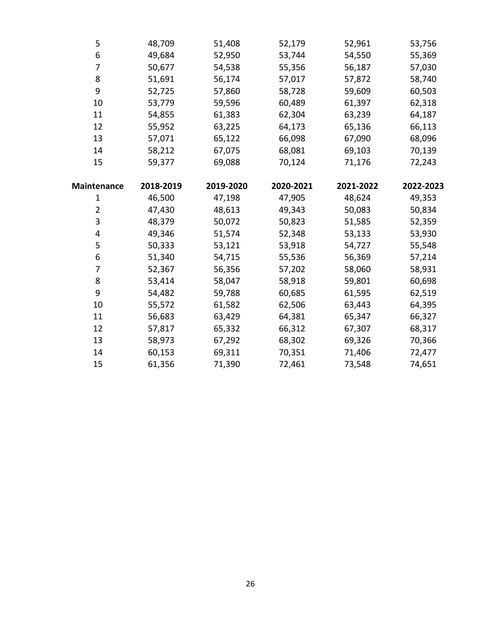| 5                  | 48,709    | 51,408    | 52,179    | 52,961    | 53,756    |
|--------------------|-----------|-----------|-----------|-----------|-----------|
| 6                  | 49,684    | 52,950    | 53,744    | 54,550    | 55,369    |
| 7                  | 50,677    | 54,538    | 55,356    | 56,187    | 57,030    |
| 8                  | 51,691    | 56,174    | 57,017    | 57,872    | 58,740    |
| 9                  | 52,725    | 57,860    | 58,728    | 59,609    | 60,503    |
| 10                 | 53,779    | 59,596    | 60,489    | 61,397    | 62,318    |
| 11                 | 54,855    | 61,383    | 62,304    | 63,239    | 64,187    |
| 12                 | 55,952    | 63,225    | 64,173    | 65,136    | 66,113    |
| 13                 | 57,071    | 65,122    | 66,098    | 67,090    | 68,096    |
| 14                 | 58,212    | 67,075    | 68,081    | 69,103    | 70,139    |
| 15                 | 59,377    | 69,088    | 70,124    | 71,176    | 72,243    |
|                    |           |           |           |           |           |
| <b>Maintenance</b> | 2018-2019 | 2019-2020 | 2020-2021 | 2021-2022 | 2022-2023 |
| $\mathbf{1}$       | 46,500    | 47,198    | 47,905    | 48,624    | 49,353    |
| $\overline{2}$     | 47,430    | 48,613    | 49,343    | 50,083    | 50,834    |
| 3                  | 48,379    | 50,072    | 50,823    | 51,585    | 52,359    |
| 4                  | 49,346    | 51,574    | 52,348    | 53,133    | 53,930    |
| 5                  | 50,333    | 53,121    | 53,918    | 54,727    | 55,548    |
| 6                  | 51,340    | 54,715    | 55,536    | 56,369    | 57,214    |
| 7                  | 52,367    | 56,356    | 57,202    | 58,060    | 58,931    |
| 8                  | 53,414    | 58,047    | 58,918    | 59,801    | 60,698    |
| 9                  | 54,482    | 59,788    | 60,685    | 61,595    | 62,519    |
| 10                 | 55,572    | 61,582    | 62,506    | 63,443    | 64,395    |
| 11                 | 56,683    | 63,429    | 64,381    | 65,347    | 66,327    |
| 12                 | 57,817    | 65,332    | 66,312    | 67,307    | 68,317    |
| 13                 | 58,973    | 67,292    | 68,302    | 69,326    | 70,366    |
| 14                 | 60,153    | 69,311    | 70,351    | 71,406    | 72,477    |
| 15                 | 61,356    | 71,390    | 72,461    | 73,548    | 74,651    |